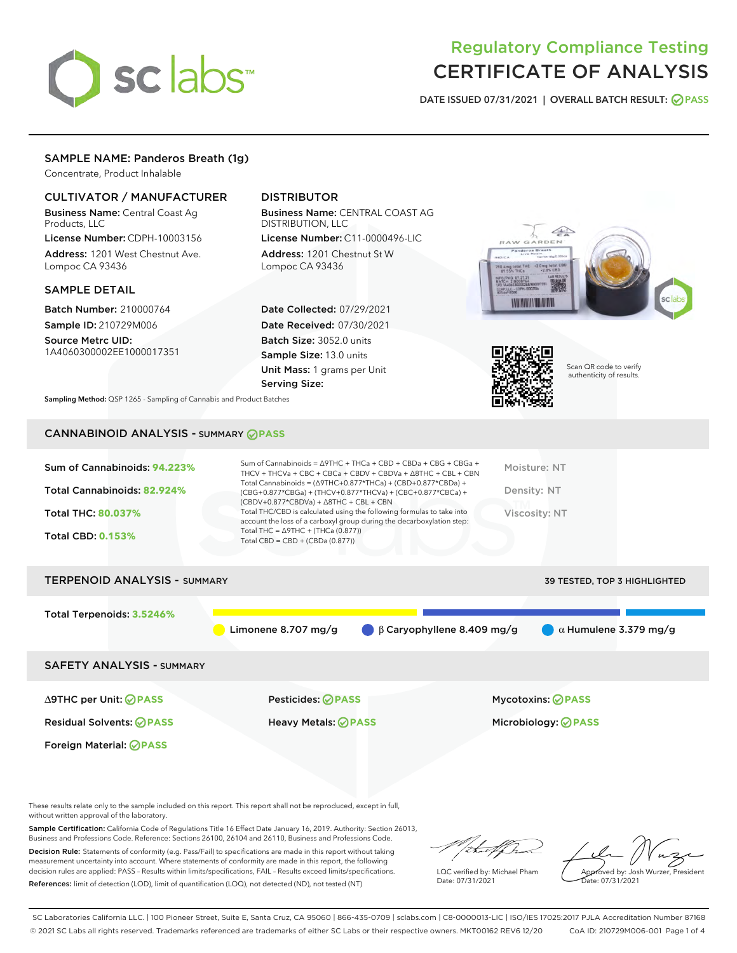# sclabs<sup>\*</sup>

# Regulatory Compliance Testing CERTIFICATE OF ANALYSIS

DATE ISSUED 07/31/2021 | OVERALL BATCH RESULT: @ PASS

# SAMPLE NAME: Panderos Breath (1g)

Concentrate, Product Inhalable

# CULTIVATOR / MANUFACTURER

Business Name: Central Coast Ag Products, LLC

License Number: CDPH-10003156 Address: 1201 West Chestnut Ave. Lompoc CA 93436

# SAMPLE DETAIL

Batch Number: 210000764 Sample ID: 210729M006 Source Metrc UID:

1A4060300002EE1000017351

# DISTRIBUTOR

Business Name: CENTRAL COAST AG DISTRIBUTION, LLC License Number: C11-0000496-LIC

Address: 1201 Chestnut St W Lompoc CA 93436

Date Collected: 07/29/2021 Date Received: 07/30/2021 Batch Size: 3052.0 units Sample Size: 13.0 units Unit Mass: 1 grams per Unit Serving Size:





Scan QR code to verify authenticity of results.

Sampling Method: QSP 1265 - Sampling of Cannabis and Product Batches

# CANNABINOID ANALYSIS - SUMMARY **PASS**

| Sum of Cannabinoids: 94.223%<br>Total Cannabinoids: 82.924%<br>Total THC: 80.037%<br><b>Total CBD: 0.153%</b> | Sum of Cannabinoids = $\triangle$ 9THC + THCa + CBD + CBDa + CBG + CBGa +<br>THCV + THCVa + CBC + CBCa + CBDV + CBDVa + $\land$ 8THC + CBL + CBN<br>Total Cannabinoids = $(\Delta$ 9THC+0.877*THCa) + (CBD+0.877*CBDa) +<br>(CBG+0.877*CBGa) + (THCV+0.877*THCVa) + (CBC+0.877*CBCa) +<br>$(CBDV+0.877*CBDVa) + \Delta 8THC + CBL + CBN$<br>Total THC/CBD is calculated using the following formulas to take into<br>account the loss of a carboxyl group during the decarboxylation step:<br>Total THC = $\triangle$ 9THC + (THCa (0.877))<br>Total CBD = $CBD + (CBDa (0.877))$ | Moisture: NT<br>Density: NT<br>Viscosity: NT |
|---------------------------------------------------------------------------------------------------------------|-----------------------------------------------------------------------------------------------------------------------------------------------------------------------------------------------------------------------------------------------------------------------------------------------------------------------------------------------------------------------------------------------------------------------------------------------------------------------------------------------------------------------------------------------------------------------------------|----------------------------------------------|
| <b>TERPENOID ANALYSIS - SUMMARY</b>                                                                           |                                                                                                                                                                                                                                                                                                                                                                                                                                                                                                                                                                                   | 39 TESTED, TOP 3 HIGHLIGHTED                 |
| Total Terpenoids: 3.5246%                                                                                     | Limonene 8.707 mg/g<br>$\beta$ Caryophyllene 8.409 mg/g                                                                                                                                                                                                                                                                                                                                                                                                                                                                                                                           | $\alpha$ Humulene 3.379 mg/g                 |
| <b>SAFETY ANALYSIS - SUMMARY</b>                                                                              |                                                                                                                                                                                                                                                                                                                                                                                                                                                                                                                                                                                   |                                              |
| $\triangle$ 9THC per Unit: $\oslash$ PASS                                                                     | Pesticides: ⊘PASS                                                                                                                                                                                                                                                                                                                                                                                                                                                                                                                                                                 | <b>Mycotoxins: ⊘PASS</b>                     |

Foreign Material: **PASS**

Residual Solvents: **PASS** Heavy Metals: **PASS** Microbiology: **PASS**

These results relate only to the sample included on this report. This report shall not be reproduced, except in full, without written approval of the laboratory.

Sample Certification: California Code of Regulations Title 16 Effect Date January 16, 2019. Authority: Section 26013, Business and Professions Code. Reference: Sections 26100, 26104 and 26110, Business and Professions Code.

Decision Rule: Statements of conformity (e.g. Pass/Fail) to specifications are made in this report without taking measurement uncertainty into account. Where statements of conformity are made in this report, the following decision rules are applied: PASS – Results within limits/specifications, FAIL – Results exceed limits/specifications. References: limit of detection (LOD), limit of quantification (LOQ), not detected (ND), not tested (NT)

d alf h

LQC verified by: Michael Pham Date: 07/31/2021

Approved by: Josh Wurzer, President Date: 07/31/2021

SC Laboratories California LLC. | 100 Pioneer Street, Suite E, Santa Cruz, CA 95060 | 866-435-0709 | sclabs.com | C8-0000013-LIC | ISO/IES 17025:2017 PJLA Accreditation Number 87168 © 2021 SC Labs all rights reserved. Trademarks referenced are trademarks of either SC Labs or their respective owners. MKT00162 REV6 12/20 CoA ID: 210729M006-001 Page 1 of 4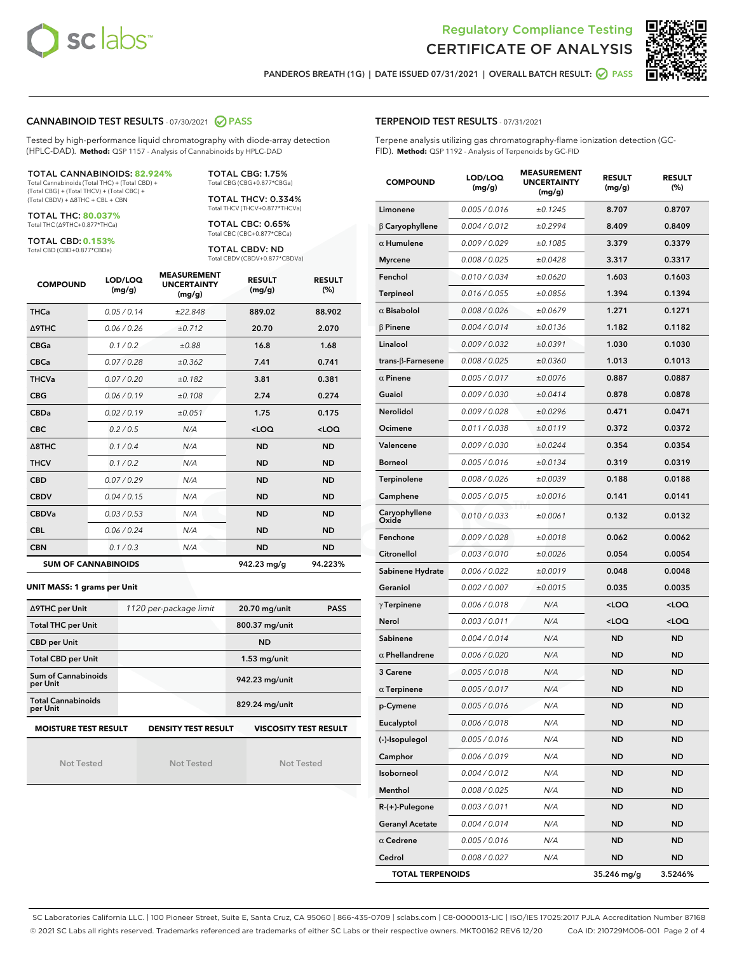



PANDEROS BREATH (1G) | DATE ISSUED 07/31/2021 | OVERALL BATCH RESULT: @ PASS

# CANNABINOID TEST RESULTS - 07/30/2021 2 PASS

Tested by high-performance liquid chromatography with diode-array detection (HPLC-DAD). **Method:** QSP 1157 - Analysis of Cannabinoids by HPLC-DAD

#### TOTAL CANNABINOIDS: **82.924%** Total Cannabinoids (Total THC) + (Total CBD) +

(Total CBG) + (Total THCV) + (Total CBC) + (Total CBDV) + ∆8THC + CBL + CBN

TOTAL THC: **80.037%** Total THC (∆9THC+0.877\*THCa)

TOTAL CBD: **0.153%**

Total CBD (CBD+0.877\*CBDa)

TOTAL CBG: 1.75% Total CBG (CBG+0.877\*CBGa)

TOTAL THCV: 0.334% Total THCV (THCV+0.877\*THCVa)

TOTAL CBC: 0.65% Total CBC (CBC+0.877\*CBCa)

TOTAL CBDV: ND Total CBDV (CBDV+0.877\*CBDVa)

| <b>COMPOUND</b>  | LOD/LOQ<br>(mg/g)          | <b>MEASUREMENT</b><br><b>UNCERTAINTY</b><br>(mg/g) | <b>RESULT</b><br>(mg/g) | <b>RESULT</b><br>(%) |
|------------------|----------------------------|----------------------------------------------------|-------------------------|----------------------|
| <b>THCa</b>      | 0.05/0.14                  | ±22.848                                            | 889.02                  | 88.902               |
| <b>A9THC</b>     | 0.06 / 0.26                | ±0.712                                             | 20.70                   | 2.070                |
| <b>CBGa</b>      | 0.1/0.2                    | ±0.88                                              | 16.8                    | 1.68                 |
| <b>CBCa</b>      | 0.07/0.28                  | ±0.362                                             | 7.41                    | 0.741                |
| <b>THCVa</b>     | 0.07/0.20                  | ±0.182                                             | 3.81                    | 0.381                |
| <b>CBG</b>       | 0.06/0.19                  | ±0.108                                             | 2.74                    | 0.274                |
| <b>CBDa</b>      | 0.02/0.19                  | ±0.051                                             | 1.75                    | 0.175                |
| <b>CBC</b>       | 0.2 / 0.5                  | N/A                                                | $<$ LOQ                 | $<$ LOQ              |
| $\triangle$ 8THC | 0.1/0.4                    | N/A                                                | <b>ND</b>               | <b>ND</b>            |
| <b>THCV</b>      | 0.1/0.2                    | N/A                                                | <b>ND</b>               | <b>ND</b>            |
| <b>CBD</b>       | 0.07/0.29                  | N/A                                                | <b>ND</b>               | <b>ND</b>            |
| <b>CBDV</b>      | 0.04 / 0.15                | N/A                                                | <b>ND</b>               | <b>ND</b>            |
| <b>CBDVa</b>     | 0.03/0.53                  | N/A                                                | <b>ND</b>               | <b>ND</b>            |
| <b>CBL</b>       | 0.06 / 0.24                | N/A                                                | <b>ND</b>               | <b>ND</b>            |
| <b>CBN</b>       | 0.1/0.3                    | N/A                                                | <b>ND</b>               | <b>ND</b>            |
|                  | <b>SUM OF CANNABINOIDS</b> |                                                    | 942.23 mg/g             | 94.223%              |

#### **UNIT MASS: 1 grams per Unit**

| ∆9THC per Unit                        | 1120 per-package limit     | 20.70 mg/unit<br><b>PASS</b> |  |
|---------------------------------------|----------------------------|------------------------------|--|
| <b>Total THC per Unit</b>             |                            | 800.37 mg/unit               |  |
| <b>CBD per Unit</b>                   |                            | <b>ND</b>                    |  |
| <b>Total CBD per Unit</b>             |                            | $1.53$ mg/unit               |  |
| Sum of Cannabinoids<br>per Unit       |                            | 942.23 mg/unit               |  |
| <b>Total Cannabinoids</b><br>per Unit |                            | 829.24 mg/unit               |  |
| <b>MOISTURE TEST RESULT</b>           | <b>DENSITY TEST RESULT</b> | <b>VISCOSITY TEST RESULT</b> |  |

Not Tested

**MOISTURE TEST RESULT**

Not Tested

Not Tested

Terpene analysis utilizing gas chromatography-flame ionization detection (GC-FID). **Method:** QSP 1192 - Analysis of Terpenoids by GC-FID

| <b>COMPOUND</b>          | LOD/LOQ<br>(mg/g) | <b>MEASUREMENT</b><br><b>UNCERTAINTY</b><br>(mg/g) | <b>RESULT</b><br>(mg/g)                          | <b>RESULT</b><br>(%) |
|--------------------------|-------------------|----------------------------------------------------|--------------------------------------------------|----------------------|
| Limonene                 | 0.005 / 0.016     | ±0.1245                                            | 8.707                                            | 0.8707               |
| $\beta$ Caryophyllene    | 0.004 / 0.012     | ±0.2994                                            | 8.409                                            | 0.8409               |
| $\alpha$ Humulene        | 0.009/0.029       | ±0.1085                                            | 3.379                                            | 0.3379               |
| <b>Myrcene</b>           | 0.008 / 0.025     | ±0.0428                                            | 3.317                                            | 0.3317               |
| Fenchol                  | 0.010 / 0.034     | ±0.0620                                            | 1.603                                            | 0.1603               |
| <b>Terpineol</b>         | 0.016 / 0.055     | ±0.0856                                            | 1.394                                            | 0.1394               |
| $\alpha$ Bisabolol       | 0.008 / 0.026     | ±0.0679                                            | 1.271                                            | 0.1271               |
| $\beta$ Pinene           | 0.004 / 0.014     | ±0.0136                                            | 1.182                                            | 0.1182               |
| Linalool                 | 0.009 / 0.032     | ±0.0391                                            | 1.030                                            | 0.1030               |
| $trans-\beta$ -Farnesene | 0.008 / 0.025     | ±0.0360                                            | 1.013                                            | 0.1013               |
| $\alpha$ Pinene          | 0.005 / 0.017     | ±0.0076                                            | 0.887                                            | 0.0887               |
| Guaiol                   | 0.009 / 0.030     | ±0.0414                                            | 0.878                                            | 0.0878               |
| Nerolidol                | 0.009 / 0.028     | ±0.0296                                            | 0.471                                            | 0.0471               |
| Ocimene                  | 0.011 / 0.038     | ±0.0119                                            | 0.372                                            | 0.0372               |
| Valencene                | 0.009 / 0.030     | ±0.0244                                            | 0.354                                            | 0.0354               |
| <b>Borneol</b>           | 0.005 / 0.016     | ±0.0134                                            | 0.319                                            | 0.0319               |
| Terpinolene              | 0.008 / 0.026     | ±0.0039                                            | 0.188                                            | 0.0188               |
| Camphene                 | 0.005 / 0.015     | ±0.0016                                            | 0.141                                            | 0.0141               |
| Caryophyllene<br>Oxide   | 0.010 / 0.033     | ±0.0061                                            | 0.132                                            | 0.0132               |
| Fenchone                 | 0.009 / 0.028     | ±0.0018                                            | 0.062                                            | 0.0062               |
| Citronellol              | 0.003 / 0.010     | ±0.0026                                            | 0.054                                            | 0.0054               |
| Sabinene Hydrate         | 0.006 / 0.022     | ±0.0019                                            | 0.048                                            | 0.0048               |
| Geraniol                 | 0.002 / 0.007     | ±0.0015                                            | 0.035                                            | 0.0035               |
| $\gamma$ Terpinene       | 0.006 / 0.018     | N/A                                                | <loq< th=""><th><math>&lt;</math>LOQ</th></loq<> | $<$ LOQ              |
| Nerol                    | 0.003 / 0.011     | N/A                                                | <loq< th=""><th><loq< th=""></loq<></th></loq<>  | <loq< th=""></loq<>  |
| Sabinene                 | 0.004 / 0.014     | N/A                                                | <b>ND</b>                                        | <b>ND</b>            |
| $\alpha$ Phellandrene    | 0.006 / 0.020     | N/A                                                | ND                                               | <b>ND</b>            |
| 3 Carene                 | 0.005 / 0.018     | N/A                                                | <b>ND</b>                                        | <b>ND</b>            |
| $\alpha$ Terpinene       | 0.005 / 0.017     | N/A                                                | ND                                               | <b>ND</b>            |
| p-Cymene                 | 0.005 / 0.016     | N/A                                                | <b>ND</b>                                        | <b>ND</b>            |
| Eucalyptol               | 0.006 / 0.018     | N/A                                                | ND                                               | ND                   |
| (-)-Isopulegol           | 0.005 / 0.016     | N/A                                                | ND                                               | ND                   |
| Camphor                  | 0.006 / 0.019     | N/A                                                | <b>ND</b>                                        | ND                   |
| Isoborneol               | 0.004 / 0.012     | N/A                                                | <b>ND</b>                                        | <b>ND</b>            |
| Menthol                  | 0.008 / 0.025     | N/A                                                | ND                                               | ND                   |
| R-(+)-Pulegone           | 0.003 / 0.011     | N/A                                                | <b>ND</b>                                        | ND                   |
| <b>Geranyl Acetate</b>   | 0.004 / 0.014     | N/A                                                | <b>ND</b>                                        | <b>ND</b>            |
| $\alpha$ Cedrene         | 0.005 / 0.016     | N/A                                                | ND                                               | ND                   |
| Cedrol                   | 0.008 / 0.027     | N/A                                                | <b>ND</b>                                        | ND                   |
| <b>TOTAL TERPENOIDS</b>  |                   |                                                    | 35.246 mg/g                                      | 3.5246%              |

SC Laboratories California LLC. | 100 Pioneer Street, Suite E, Santa Cruz, CA 95060 | 866-435-0709 | sclabs.com | C8-0000013-LIC | ISO/IES 17025:2017 PJLA Accreditation Number 87168 © 2021 SC Labs all rights reserved. Trademarks referenced are trademarks of either SC Labs or their respective owners. MKT00162 REV6 12/20 CoA ID: 210729M006-001 Page 2 of 4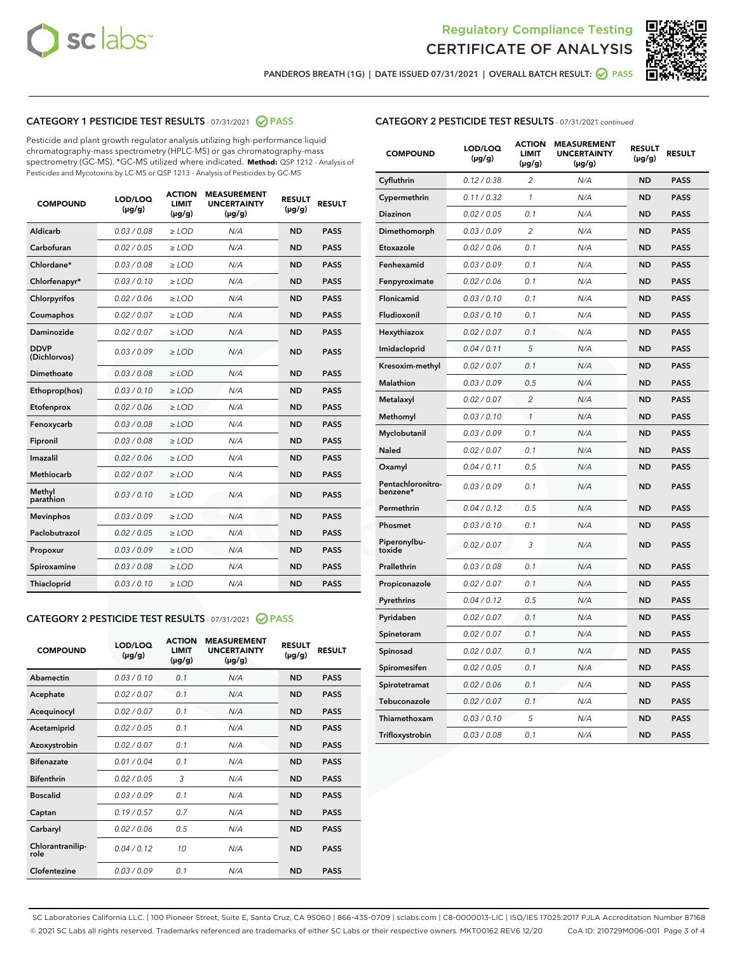



PANDEROS BREATH (1G) | DATE ISSUED 07/31/2021 | OVERALL BATCH RESULT: @ PASS

# CATEGORY 1 PESTICIDE TEST RESULTS - 07/31/2021 2 PASS

Pesticide and plant growth regulator analysis utilizing high-performance liquid chromatography-mass spectrometry (HPLC-MS) or gas chromatography-mass spectrometry (GC-MS). \*GC-MS utilized where indicated. **Method:** QSP 1212 - Analysis of Pesticides and Mycotoxins by LC-MS or QSP 1213 - Analysis of Pesticides by GC-MS

| <b>COMPOUND</b>             | LOD/LOQ<br>$(\mu g/g)$ | <b>ACTION</b><br><b>LIMIT</b><br>$(\mu g/g)$ | <b>MEASUREMENT</b><br><b>UNCERTAINTY</b><br>$(\mu g/g)$ | <b>RESULT</b><br>$(\mu g/g)$ | <b>RESULT</b> |
|-----------------------------|------------------------|----------------------------------------------|---------------------------------------------------------|------------------------------|---------------|
| Aldicarb                    | 0.03 / 0.08            | $\ge$ LOD                                    | N/A                                                     | <b>ND</b>                    | <b>PASS</b>   |
| Carbofuran                  | 0.02/0.05              | $>$ LOD                                      | N/A                                                     | <b>ND</b>                    | <b>PASS</b>   |
| Chlordane*                  | 0.03 / 0.08            | $\ge$ LOD                                    | N/A                                                     | <b>ND</b>                    | <b>PASS</b>   |
| Chlorfenapyr*               | 0.03/0.10              | $\ge$ LOD                                    | N/A                                                     | <b>ND</b>                    | <b>PASS</b>   |
| Chlorpyrifos                | 0.02 / 0.06            | $\ge$ LOD                                    | N/A                                                     | <b>ND</b>                    | <b>PASS</b>   |
| Coumaphos                   | 0.02 / 0.07            | $\ge$ LOD                                    | N/A                                                     | <b>ND</b>                    | <b>PASS</b>   |
| <b>Daminozide</b>           | 0.02 / 0.07            | $\ge$ LOD                                    | N/A                                                     | <b>ND</b>                    | <b>PASS</b>   |
| <b>DDVP</b><br>(Dichlorvos) | 0.03/0.09              | $\ge$ LOD                                    | N/A                                                     | <b>ND</b>                    | <b>PASS</b>   |
| <b>Dimethoate</b>           | 0.03 / 0.08            | $\ge$ LOD                                    | N/A                                                     | <b>ND</b>                    | <b>PASS</b>   |
| Ethoprop(hos)               | 0.03/0.10              | $\ge$ LOD                                    | N/A                                                     | <b>ND</b>                    | <b>PASS</b>   |
| Etofenprox                  | 0.02 / 0.06            | $\ge$ LOD                                    | N/A                                                     | <b>ND</b>                    | <b>PASS</b>   |
| Fenoxycarb                  | 0.03/0.08              | $\ge$ LOD                                    | N/A                                                     | <b>ND</b>                    | <b>PASS</b>   |
| Fipronil                    | 0.03 / 0.08            | $>$ LOD                                      | N/A                                                     | <b>ND</b>                    | <b>PASS</b>   |
| <b>Imazalil</b>             | 0.02 / 0.06            | $\ge$ LOD                                    | N/A                                                     | <b>ND</b>                    | <b>PASS</b>   |
| <b>Methiocarb</b>           | 0.02 / 0.07            | $\ge$ LOD                                    | N/A                                                     | <b>ND</b>                    | <b>PASS</b>   |
| Methyl<br>parathion         | 0.03/0.10              | $\ge$ LOD                                    | N/A                                                     | <b>ND</b>                    | <b>PASS</b>   |
| <b>Mevinphos</b>            | 0.03/0.09              | $>$ LOD                                      | N/A                                                     | <b>ND</b>                    | <b>PASS</b>   |
| Paclobutrazol               | 0.02 / 0.05            | $\ge$ LOD                                    | N/A                                                     | <b>ND</b>                    | <b>PASS</b>   |
| Propoxur                    | 0.03/0.09              | $>$ LOD                                      | N/A                                                     | <b>ND</b>                    | <b>PASS</b>   |
| Spiroxamine                 | 0.03 / 0.08            | $\ge$ LOD                                    | N/A                                                     | <b>ND</b>                    | <b>PASS</b>   |
| <b>Thiacloprid</b>          | 0.03/0.10              | $\ge$ LOD                                    | N/A                                                     | <b>ND</b>                    | <b>PASS</b>   |

# CATEGORY 2 PESTICIDE TEST RESULTS - 07/31/2021 @ PASS

| <b>COMPOUND</b>          | LOD/LOO<br>$(\mu g/g)$ | <b>ACTION</b><br>LIMIT<br>$(\mu g/g)$ | <b>MEASUREMENT</b><br><b>UNCERTAINTY</b><br>$(\mu g/g)$ | <b>RESULT</b><br>$(\mu g/g)$ | <b>RESULT</b> |  |
|--------------------------|------------------------|---------------------------------------|---------------------------------------------------------|------------------------------|---------------|--|
| Abamectin                | 0.03/0.10              | 0.1                                   | N/A                                                     | <b>ND</b>                    | <b>PASS</b>   |  |
| Acephate                 | 0.02/0.07              | 0.1                                   | N/A                                                     | <b>ND</b>                    | <b>PASS</b>   |  |
| Acequinocyl              | 0.02/0.07              | 0.1                                   | N/A                                                     | <b>ND</b>                    | <b>PASS</b>   |  |
| Acetamiprid              | 0.02 / 0.05            | 0.1                                   | N/A                                                     | <b>ND</b>                    | <b>PASS</b>   |  |
| Azoxystrobin             | 0.02/0.07              | 0.1                                   | N/A                                                     | <b>ND</b>                    | <b>PASS</b>   |  |
| <b>Bifenazate</b>        | 0.01 / 0.04            | 0.1                                   | N/A                                                     | <b>ND</b>                    | <b>PASS</b>   |  |
| <b>Bifenthrin</b>        | 0.02 / 0.05            | 3                                     | N/A                                                     | <b>ND</b>                    | <b>PASS</b>   |  |
| <b>Boscalid</b>          | 0.03/0.09              | 0.1                                   | N/A                                                     | <b>ND</b>                    | <b>PASS</b>   |  |
| Captan                   | 0.19/0.57              | 0.7                                   | N/A                                                     | <b>ND</b>                    | <b>PASS</b>   |  |
| Carbaryl                 | 0.02/0.06              | 0.5                                   | N/A                                                     | <b>ND</b>                    | <b>PASS</b>   |  |
| Chlorantranilip-<br>role | 0.04/0.12              | 10                                    | N/A                                                     | <b>ND</b>                    | <b>PASS</b>   |  |
| Clofentezine             | 0.03/0.09              | 0.1                                   | N/A                                                     | <b>ND</b>                    | <b>PASS</b>   |  |

| <b>COMPOUND</b>               | LOD/LOQ<br>(µg/g) | <b>ACTION</b><br><b>LIMIT</b><br>(µg/g) | <b>MEASUREMENT</b><br><b>UNCERTAINTY</b><br>(µg/g) | <b>RESULT</b><br>(µg/g) | <b>RESULT</b> |
|-------------------------------|-------------------|-----------------------------------------|----------------------------------------------------|-------------------------|---------------|
| Cyfluthrin                    | 0.12 / 0.38       | 2                                       | N/A                                                | <b>ND</b>               | <b>PASS</b>   |
| Cypermethrin                  | 0.11 / 0.32       | 1                                       | N/A                                                | <b>ND</b>               | <b>PASS</b>   |
| Diazinon                      | 0.02 / 0.05       | 0.1                                     | N/A                                                | <b>ND</b>               | <b>PASS</b>   |
| Dimethomorph                  | 0.03 / 0.09       | 2                                       | N/A                                                | <b>ND</b>               | <b>PASS</b>   |
| Etoxazole                     | 0.02 / 0.06       | 0.1                                     | N/A                                                | <b>ND</b>               | <b>PASS</b>   |
| Fenhexamid                    | 0.03 / 0.09       | 0.1                                     | N/A                                                | <b>ND</b>               | <b>PASS</b>   |
| Fenpyroximate                 | 0.02 / 0.06       | 0.1                                     | N/A                                                | <b>ND</b>               | <b>PASS</b>   |
| Flonicamid                    | 0.03 / 0.10       | 0.1                                     | N/A                                                | <b>ND</b>               | <b>PASS</b>   |
| Fludioxonil                   | 0.03/0.10         | 0.1                                     | N/A                                                | <b>ND</b>               | <b>PASS</b>   |
| Hexythiazox                   | 0.02 / 0.07       | 0.1                                     | N/A                                                | <b>ND</b>               | <b>PASS</b>   |
| Imidacloprid                  | 0.04 / 0.11       | 5                                       | N/A                                                | <b>ND</b>               | <b>PASS</b>   |
| Kresoxim-methyl               | 0.02 / 0.07       | 0.1                                     | N/A                                                | <b>ND</b>               | <b>PASS</b>   |
| <b>Malathion</b>              | 0.03 / 0.09       | 0.5                                     | N/A                                                | <b>ND</b>               | <b>PASS</b>   |
| Metalaxyl                     | 0.02 / 0.07       | $\overline{c}$                          | N/A                                                | <b>ND</b>               | <b>PASS</b>   |
| Methomyl                      | 0.03 / 0.10       | $\mathcal{I}$                           | N/A                                                | <b>ND</b>               | <b>PASS</b>   |
| Myclobutanil                  | 0.03 / 0.09       | 0.1                                     | N/A                                                | <b>ND</b>               | <b>PASS</b>   |
| <b>Naled</b>                  | 0.02 / 0.07       | 0.1                                     | N/A                                                | <b>ND</b>               | <b>PASS</b>   |
| Oxamyl                        | 0.04 / 0.11       | 0.5                                     | N/A                                                | ND                      | <b>PASS</b>   |
| Pentachloronitro-<br>benzene* | 0.03 / 0.09       | 0.1                                     | N/A                                                | <b>ND</b>               | <b>PASS</b>   |
| Permethrin                    | 0.04 / 0.12       | 0.5                                     | N/A                                                | <b>ND</b>               | <b>PASS</b>   |
| Phosmet                       | 0.03/0.10         | 0.1                                     | N/A                                                | <b>ND</b>               | <b>PASS</b>   |
| Piperonylbu-<br>toxide        | 0.02 / 0.07       | 3                                       | N/A                                                | <b>ND</b>               | <b>PASS</b>   |
| Prallethrin                   | 0.03 / 0.08       | 0.1                                     | N/A                                                | <b>ND</b>               | <b>PASS</b>   |
| Propiconazole                 | 0.02 / 0.07       | 0.1                                     | N/A                                                | <b>ND</b>               | <b>PASS</b>   |
| Pyrethrins                    | 0.04 / 0.12       | 0.5                                     | N/A                                                | <b>ND</b>               | <b>PASS</b>   |
| Pyridaben                     | 0.02 / 0.07       | 0.1                                     | N/A                                                | <b>ND</b>               | <b>PASS</b>   |
| Spinetoram                    | 0.02 / 0.07       | 0.1                                     | N/A                                                | <b>ND</b>               | <b>PASS</b>   |
| Spinosad                      | 0.02 / 0.07       | 0.1                                     | N/A                                                | <b>ND</b>               | <b>PASS</b>   |
| Spiromesifen                  | 0.02 / 0.05       | 0.1                                     | N/A                                                | <b>ND</b>               | <b>PASS</b>   |
| Spirotetramat                 | 0.02 / 0.06       | 0.1                                     | N/A                                                | <b>ND</b>               | <b>PASS</b>   |
| Tebuconazole                  | 0.02 / 0.07       | 0.1                                     | N/A                                                | ND                      | <b>PASS</b>   |
| Thiamethoxam                  | 0.03 / 0.10       | 5                                       | N/A                                                | <b>ND</b>               | <b>PASS</b>   |
| Trifloxystrobin               | 0.03 / 0.08       | 0.1                                     | N/A                                                | <b>ND</b>               | <b>PASS</b>   |

SC Laboratories California LLC. | 100 Pioneer Street, Suite E, Santa Cruz, CA 95060 | 866-435-0709 | sclabs.com | C8-0000013-LIC | ISO/IES 17025:2017 PJLA Accreditation Number 87168 © 2021 SC Labs all rights reserved. Trademarks referenced are trademarks of either SC Labs or their respective owners. MKT00162 REV6 12/20 CoA ID: 210729M006-001 Page 3 of 4